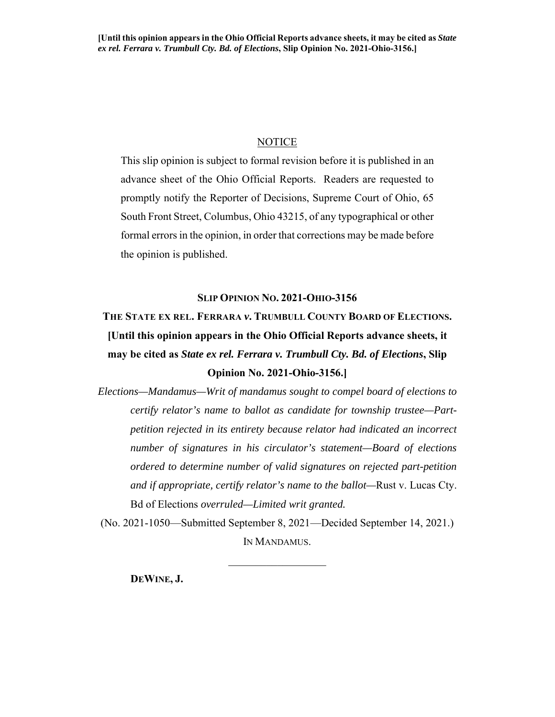### **NOTICE**

This slip opinion is subject to formal revision before it is published in an advance sheet of the Ohio Official Reports. Readers are requested to promptly notify the Reporter of Decisions, Supreme Court of Ohio, 65 South Front Street, Columbus, Ohio 43215, of any typographical or other formal errors in the opinion, in order that corrections may be made before the opinion is published.

#### **SLIP OPINION NO. 2021-OHIO-3156**

## **THE STATE EX REL. FERRARA** *v***. TRUMBULL COUNTY BOARD OF ELECTIONS. [Until this opinion appears in the Ohio Official Reports advance sheets, it may be cited as** *State ex rel. Ferrara v. Trumbull Cty. Bd. of Elections***, Slip Opinion No. 2021-Ohio-3156.]**

*Elections—Mandamus—Writ of mandamus sought to compel board of elections to certify relator's name to ballot as candidate for township trustee—Partpetition rejected in its entirety because relator had indicated an incorrect number of signatures in his circulator's statement—Board of elections ordered to determine number of valid signatures on rejected part-petition and if appropriate, certify relator's name to the ballot—*Rust v. Lucas Cty. Bd of Elections *overruled—Limited writ granted.*

(No. 2021-1050—Submitted September 8, 2021—Decided September 14, 2021.) IN MANDAMUS.

 $\frac{1}{2}$  ,  $\frac{1}{2}$  ,  $\frac{1}{2}$  ,  $\frac{1}{2}$  ,  $\frac{1}{2}$  ,  $\frac{1}{2}$  ,  $\frac{1}{2}$  ,  $\frac{1}{2}$  ,  $\frac{1}{2}$ 

**DEWINE, J.**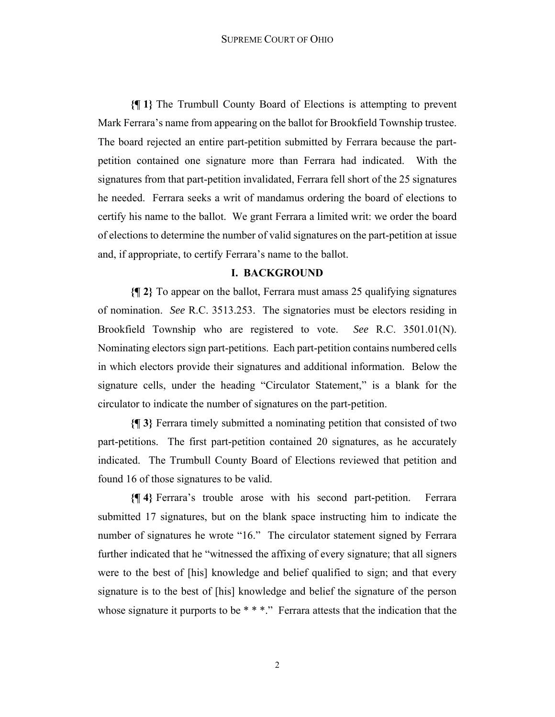**{¶ 1}** The Trumbull County Board of Elections is attempting to prevent Mark Ferrara's name from appearing on the ballot for Brookfield Township trustee. The board rejected an entire part-petition submitted by Ferrara because the partpetition contained one signature more than Ferrara had indicated. With the signatures from that part-petition invalidated, Ferrara fell short of the 25 signatures he needed. Ferrara seeks a writ of mandamus ordering the board of elections to certify his name to the ballot. We grant Ferrara a limited writ: we order the board of elections to determine the number of valid signatures on the part-petition at issue and, if appropriate, to certify Ferrara's name to the ballot.

#### **I. BACKGROUND**

**{¶ 2}** To appear on the ballot, Ferrara must amass 25 qualifying signatures of nomination. *See* R.C. 3513.253. The signatories must be electors residing in Brookfield Township who are registered to vote. *See* R.C. 3501.01(N). Nominating electors sign part-petitions. Each part-petition contains numbered cells in which electors provide their signatures and additional information. Below the signature cells, under the heading "Circulator Statement," is a blank for the circulator to indicate the number of signatures on the part-petition.

**{¶ 3}** Ferrara timely submitted a nominating petition that consisted of two part-petitions. The first part-petition contained 20 signatures, as he accurately indicated. The Trumbull County Board of Elections reviewed that petition and found 16 of those signatures to be valid.

**{¶ 4}** Ferrara's trouble arose with his second part-petition. Ferrara submitted 17 signatures, but on the blank space instructing him to indicate the number of signatures he wrote "16." The circulator statement signed by Ferrara further indicated that he "witnessed the affixing of every signature; that all signers were to the best of [his] knowledge and belief qualified to sign; and that every signature is to the best of [his] knowledge and belief the signature of the person whose signature it purports to be  $***$ ." Ferrara attests that the indication that the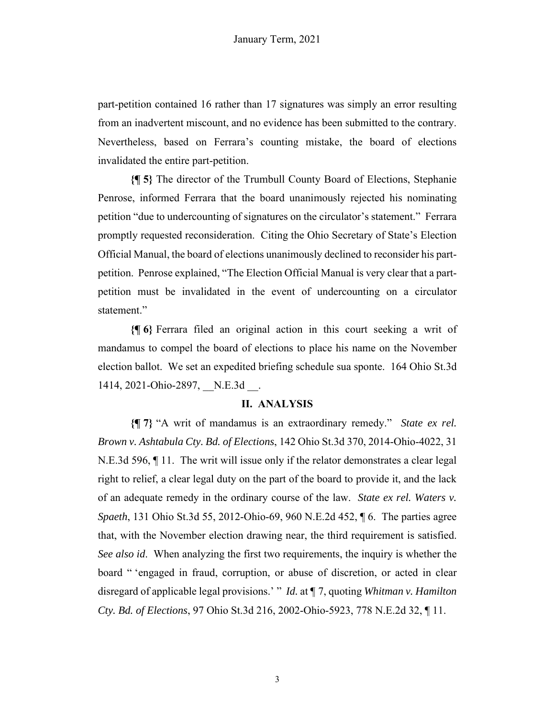part-petition contained 16 rather than 17 signatures was simply an error resulting from an inadvertent miscount, and no evidence has been submitted to the contrary. Nevertheless, based on Ferrara's counting mistake, the board of elections invalidated the entire part-petition.

**{¶ 5}** The director of the Trumbull County Board of Elections, Stephanie Penrose, informed Ferrara that the board unanimously rejected his nominating petition "due to undercounting of signatures on the circulator's statement." Ferrara promptly requested reconsideration. Citing the Ohio Secretary of State's Election Official Manual, the board of elections unanimously declined to reconsider his partpetition. Penrose explained, "The Election Official Manual is very clear that a partpetition must be invalidated in the event of undercounting on a circulator statement."

**{¶ 6}** Ferrara filed an original action in this court seeking a writ of mandamus to compel the board of elections to place his name on the November election ballot. We set an expedited briefing schedule sua sponte. 164 Ohio St.3d 1414, 2021-Ohio-2897, N.E.3d .

#### **II. ANALYSIS**

**{¶ 7}** "A writ of mandamus is an extraordinary remedy." *State ex rel. Brown v. Ashtabula Cty. Bd. of Elections*, 142 Ohio St.3d 370, 2014-Ohio-4022, 31 N.E.3d 596, ¶ 11. The writ will issue only if the relator demonstrates a clear legal right to relief, a clear legal duty on the part of the board to provide it, and the lack of an adequate remedy in the ordinary course of the law. *State ex rel. Waters v. Spaeth*, 131 Ohio St.3d 55, 2012-Ohio-69, 960 N.E.2d 452, ¶ 6. The parties agree that, with the November election drawing near, the third requirement is satisfied. *See also id*. When analyzing the first two requirements, the inquiry is whether the board " 'engaged in fraud, corruption, or abuse of discretion, or acted in clear disregard of applicable legal provisions.' " *Id.* at ¶ 7, quoting *Whitman v. Hamilton Cty. Bd. of Elections*, 97 Ohio St.3d 216, 2002-Ohio-5923, 778 N.E.2d 32, ¶ 11.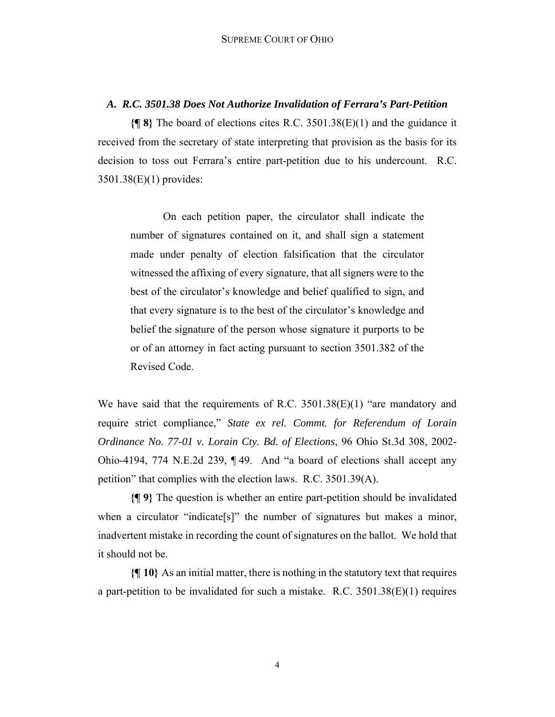#### *A. R.C. 3501.38 Does Not Authorize Invalidation of Ferrara's Part-Petition*

**{¶ 8}** The board of elections cites R.C. 3501.38(E)(1) and the guidance it received from the secretary of state interpreting that provision as the basis for its decision to toss out Ferrara's entire part-petition due to his undercount. R.C. 3501.38(E)(1) provides:

On each petition paper, the circulator shall indicate the number of signatures contained on it, and shall sign a statement made under penalty of election falsification that the circulator witnessed the affixing of every signature, that all signers were to the best of the circulator's knowledge and belief qualified to sign, and that every signature is to the best of the circulator's knowledge and belief the signature of the person whose signature it purports to be or of an attorney in fact acting pursuant to section 3501.382 of the Revised Code.

We have said that the requirements of R.C. 3501.38(E)(1) "are mandatory and require strict compliance," *State ex rel. Commt. for Referendum of Lorain Ordinance No. 77-01 v. Lorain Cty. Bd. of Elections*, 96 Ohio St.3d 308, 2002- Ohio-4194, 774 N.E.2d 239, ¶ 49. And "a board of elections shall accept any petition" that complies with the election laws. R.C. 3501.39(A).

**{¶ 9}** The question is whether an entire part-petition should be invalidated when a circulator "indicate[s]" the number of signatures but makes a minor, inadvertent mistake in recording the count of signatures on the ballot. We hold that it should not be.

**{¶ 10}** As an initial matter, there is nothing in the statutory text that requires a part-petition to be invalidated for such a mistake. R.C.  $3501.38(E)(1)$  requires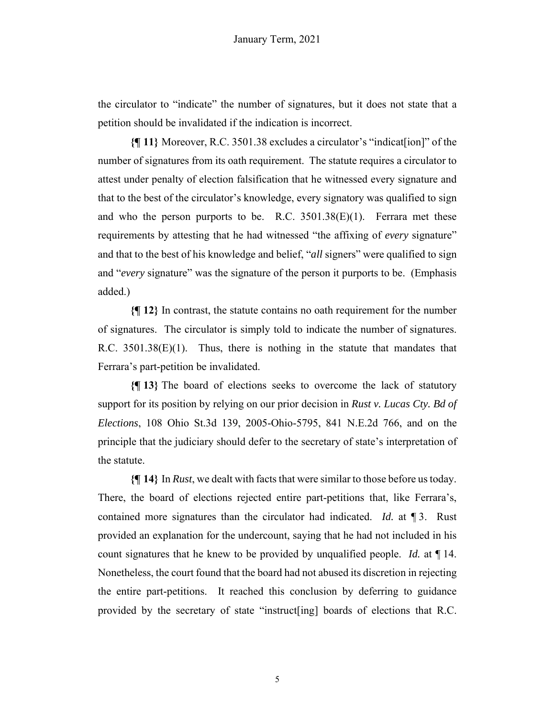the circulator to "indicate" the number of signatures, but it does not state that a petition should be invalidated if the indication is incorrect.

**{¶ 11}** Moreover, R.C. 3501.38 excludes a circulator's "indicat[ion]" of the number of signatures from its oath requirement. The statute requires a circulator to attest under penalty of election falsification that he witnessed every signature and that to the best of the circulator's knowledge, every signatory was qualified to sign and who the person purports to be. R.C.  $3501.38(E)(1)$ . Ferrara met these requirements by attesting that he had witnessed "the affixing of *every* signature" and that to the best of his knowledge and belief, "*all* signers" were qualified to sign and "*every* signature" was the signature of the person it purports to be. (Emphasis added.)

**{¶ 12}** In contrast, the statute contains no oath requirement for the number of signatures. The circulator is simply told to indicate the number of signatures. R.C.  $3501.38(E)(1)$ . Thus, there is nothing in the statute that mandates that Ferrara's part-petition be invalidated.

**{¶ 13}** The board of elections seeks to overcome the lack of statutory support for its position by relying on our prior decision in *Rust v. Lucas Cty. Bd of Elections*, 108 Ohio St.3d 139, 2005-Ohio-5795, 841 N.E.2d 766, and on the principle that the judiciary should defer to the secretary of state's interpretation of the statute.

**{¶ 14}** In *Rust*, we dealt with facts that were similar to those before us today. There, the board of elections rejected entire part-petitions that, like Ferrara's, contained more signatures than the circulator had indicated. *Id.* at ¶ 3. Rust provided an explanation for the undercount, saying that he had not included in his count signatures that he knew to be provided by unqualified people. *Id.* at ¶ 14. Nonetheless, the court found that the board had not abused its discretion in rejecting the entire part-petitions. It reached this conclusion by deferring to guidance provided by the secretary of state "instruct[ing] boards of elections that R.C.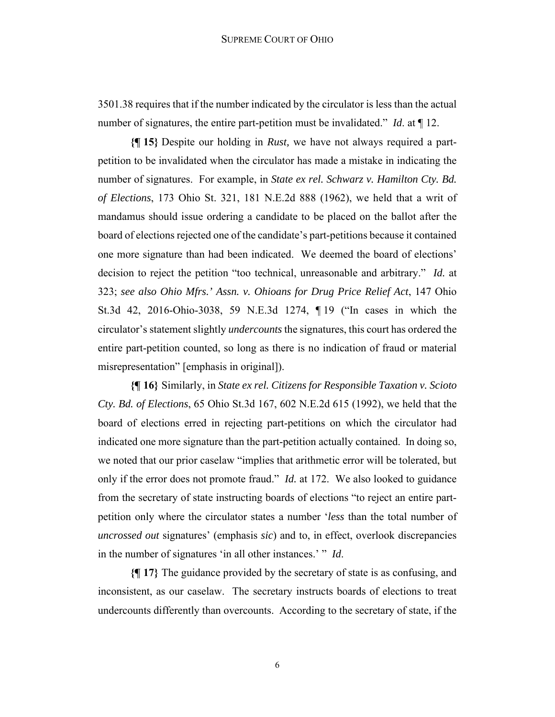3501.38 requires that if the number indicated by the circulator is less than the actual number of signatures, the entire part-petition must be invalidated." *Id*. at ¶ 12.

**{¶ 15}** Despite our holding in *Rust,* we have not always required a partpetition to be invalidated when the circulator has made a mistake in indicating the number of signatures. For example, in *State ex rel. Schwarz v. Hamilton Cty. Bd. of Elections*, 173 Ohio St. 321, 181 N.E.2d 888 (1962), we held that a writ of mandamus should issue ordering a candidate to be placed on the ballot after the board of elections rejected one of the candidate's part-petitions because it contained one more signature than had been indicated. We deemed the board of elections' decision to reject the petition "too technical, unreasonable and arbitrary." *Id.* at 323; *see also Ohio Mfrs.' Assn. v. Ohioans for Drug Price Relief Act*, 147 Ohio St.3d 42, 2016-Ohio-3038, 59 N.E.3d 1274, ¶ 19 ("In cases in which the circulator's statement slightly *undercounts* the signatures, this court has ordered the entire part-petition counted, so long as there is no indication of fraud or material misrepresentation" [emphasis in original]).

**{¶ 16}** Similarly, in *State ex rel. Citizens for Responsible Taxation v. Scioto Cty. Bd. of Elections*, 65 Ohio St.3d 167, 602 N.E.2d 615 (1992), we held that the board of elections erred in rejecting part-petitions on which the circulator had indicated one more signature than the part-petition actually contained. In doing so, we noted that our prior caselaw "implies that arithmetic error will be tolerated, but only if the error does not promote fraud." *Id.* at 172. We also looked to guidance from the secretary of state instructing boards of elections "to reject an entire partpetition only where the circulator states a number '*less* than the total number of *uncrossed out* signatures' (emphasis *sic*) and to, in effect, overlook discrepancies in the number of signatures 'in all other instances.' " *Id*.

**{¶ 17}** The guidance provided by the secretary of state is as confusing, and inconsistent, as our caselaw. The secretary instructs boards of elections to treat undercounts differently than overcounts. According to the secretary of state, if the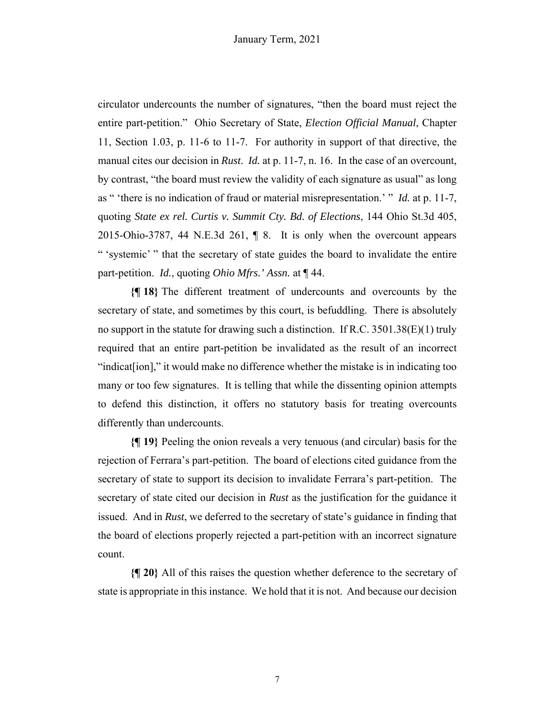circulator undercounts the number of signatures, "then the board must reject the entire part-petition." Ohio Secretary of State, *Election Official Manual*, Chapter 11, Section 1.03, p. 11-6 to 11-7. For authority in support of that directive, the manual cites our decision in *Rust*. *Id.* at p. 11-7, n. 16. In the case of an overcount, by contrast, "the board must review the validity of each signature as usual" as long as " 'there is no indication of fraud or material misrepresentation.' " *Id.* at p. 11-7, quoting *State ex rel. Curtis v. Summit Cty. Bd. of Elections*, 144 Ohio St.3d 405, 2015-Ohio-3787, 44 N.E.3d 261, ¶ 8. It is only when the overcount appears " 'systemic' " that the secretary of state guides the board to invalidate the entire part-petition. *Id.*, quoting *Ohio Mfrs.' Assn.* at ¶ 44.

**{¶ 18}** The different treatment of undercounts and overcounts by the secretary of state, and sometimes by this court, is befuddling. There is absolutely no support in the statute for drawing such a distinction. If R.C.  $3501.38(E)(1)$  truly required that an entire part-petition be invalidated as the result of an incorrect "indicat[ion]," it would make no difference whether the mistake is in indicating too many or too few signatures. It is telling that while the dissenting opinion attempts to defend this distinction, it offers no statutory basis for treating overcounts differently than undercounts.

**{¶ 19}** Peeling the onion reveals a very tenuous (and circular) basis for the rejection of Ferrara's part-petition. The board of elections cited guidance from the secretary of state to support its decision to invalidate Ferrara's part-petition. The secretary of state cited our decision in *Rust* as the justification for the guidance it issued. And in *Rust*, we deferred to the secretary of state's guidance in finding that the board of elections properly rejected a part-petition with an incorrect signature count.

**{¶ 20}** All of this raises the question whether deference to the secretary of state is appropriate in this instance. We hold that it is not. And because our decision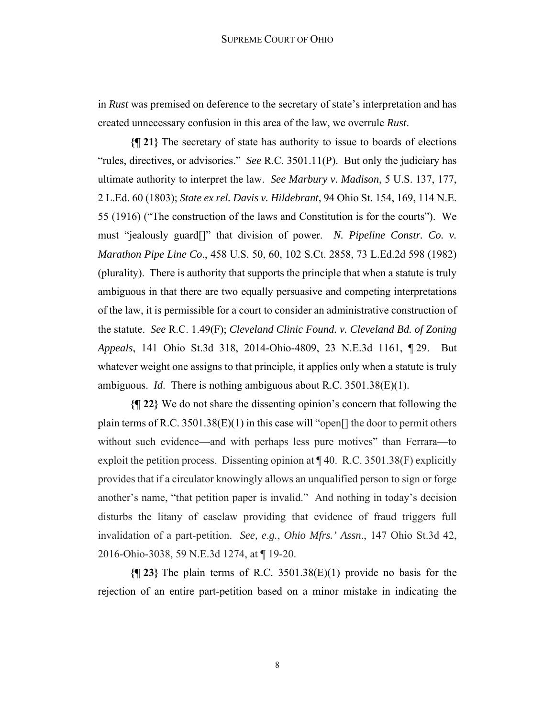in *Rust* was premised on deference to the secretary of state's interpretation and has created unnecessary confusion in this area of the law, we overrule *Rust*.

**{¶ 21}** The secretary of state has authority to issue to boards of elections "rules, directives, or advisories." *See* R.C. 3501.11(P). But only the judiciary has ultimate authority to interpret the law. *See Marbury v. Madison*, 5 U.S. 137, 177, 2 L.Ed. 60 (1803); *State ex rel. Davis v. Hildebrant*, 94 Ohio St. 154, 169, 114 N.E. 55 (1916) ("The construction of the laws and Constitution is for the courts"). We must "jealously guard[]" that division of power. *N. Pipeline Constr. Co. v. Marathon Pipe Line Co*., 458 U.S. 50, 60, 102 S.Ct. 2858, 73 L.Ed.2d 598 (1982) (plurality). There is authority that supports the principle that when a statute is truly ambiguous in that there are two equally persuasive and competing interpretations of the law, it is permissible for a court to consider an administrative construction of the statute. *See* R.C. 1.49(F); *Cleveland Clinic Found. v. Cleveland Bd. of Zoning Appeals*, 141 Ohio St.3d 318, 2014-Ohio-4809, 23 N.E.3d 1161, ¶ 29. But whatever weight one assigns to that principle, it applies only when a statute is truly ambiguous. *Id*. There is nothing ambiguous about R.C. 3501.38(E)(1).

**{¶ 22}** We do not share the dissenting opinion's concern that following the plain terms of R.C. 3501.38(E)(1) in this case will "open. the door to permit others without such evidence—and with perhaps less pure motives" than Ferrara—to exploit the petition process. Dissenting opinion at  $\P$  40. R.C. 3501.38(F) explicitly provides that if a circulator knowingly allows an unqualified person to sign or forge another's name, "that petition paper is invalid." And nothing in today's decision disturbs the litany of caselaw providing that evidence of fraud triggers full invalidation of a part-petition. *See, e*.*g.*, *Ohio Mfrs.' Assn*., 147 Ohio St.3d 42, 2016-Ohio-3038, 59 N.E.3d 1274, at ¶ 19-20.

**{¶ 23}** The plain terms of R.C. 3501.38(E)(1) provide no basis for the rejection of an entire part-petition based on a minor mistake in indicating the

8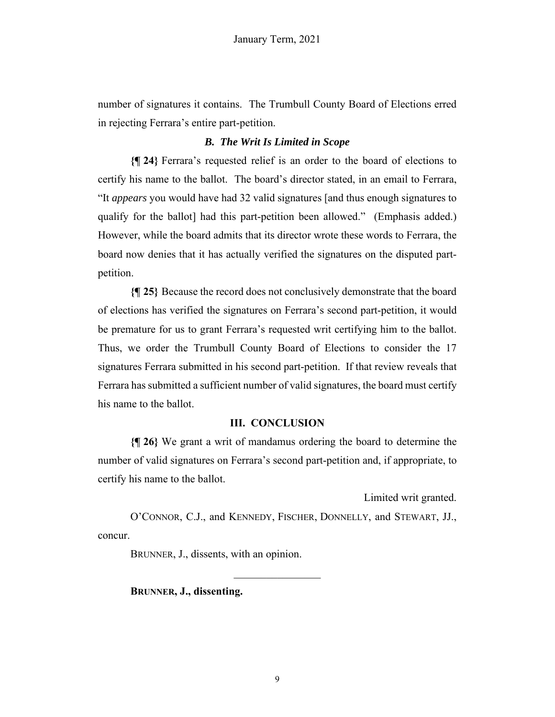number of signatures it contains. The Trumbull County Board of Elections erred in rejecting Ferrara's entire part-petition.

#### *B. The Writ Is Limited in Scope*

**{¶ 24}** Ferrara's requested relief is an order to the board of elections to certify his name to the ballot. The board's director stated, in an email to Ferrara, "It *appears* you would have had 32 valid signatures [and thus enough signatures to qualify for the ballot] had this part-petition been allowed." (Emphasis added.) However, while the board admits that its director wrote these words to Ferrara, the board now denies that it has actually verified the signatures on the disputed partpetition.

**{¶ 25}** Because the record does not conclusively demonstrate that the board of elections has verified the signatures on Ferrara's second part-petition, it would be premature for us to grant Ferrara's requested writ certifying him to the ballot. Thus, we order the Trumbull County Board of Elections to consider the 17 signatures Ferrara submitted in his second part-petition. If that review reveals that Ferrara has submitted a sufficient number of valid signatures, the board must certify his name to the ballot.

#### **III. CONCLUSION**

**{¶ 26}** We grant a writ of mandamus ordering the board to determine the number of valid signatures on Ferrara's second part-petition and, if appropriate, to certify his name to the ballot.

Limited writ granted.

O'CONNOR, C.J., and KENNEDY, FISCHER, DONNELLY, and STEWART, JJ., concur.

BRUNNER, J., dissents, with an opinion.

 **BRUNNER, J., dissenting.**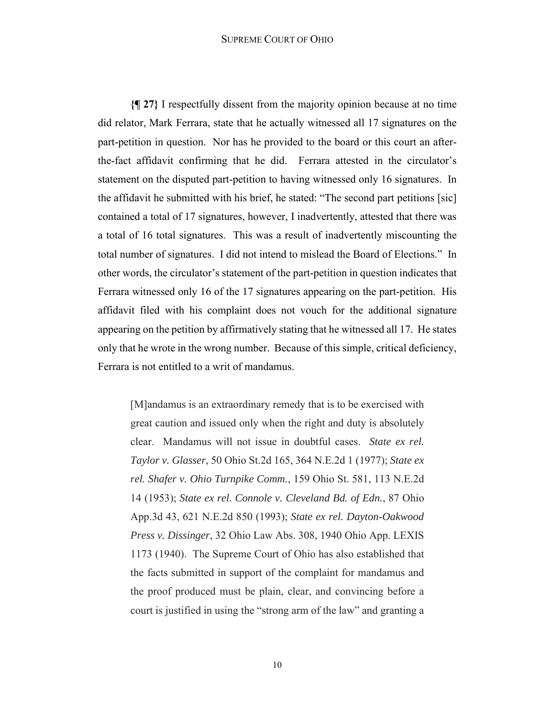#### SUPREME COURT OF OHIO

**{¶ 27}** I respectfully dissent from the majority opinion because at no time did relator, Mark Ferrara, state that he actually witnessed all 17 signatures on the part-petition in question. Nor has he provided to the board or this court an afterthe-fact affidavit confirming that he did. Ferrara attested in the circulator's statement on the disputed part-petition to having witnessed only 16 signatures. In the affidavit he submitted with his brief, he stated: "The second part petitions [sic] contained a total of 17 signatures, however, I inadvertently, attested that there was a total of 16 total signatures. This was a result of inadvertently miscounting the total number of signatures. I did not intend to mislead the Board of Elections." In other words, the circulator's statement of the part-petition in question indicates that Ferrara witnessed only 16 of the 17 signatures appearing on the part-petition. His affidavit filed with his complaint does not vouch for the additional signature appearing on the petition by affirmatively stating that he witnessed all 17. He states only that he wrote in the wrong number. Because of this simple, critical deficiency, Ferrara is not entitled to a writ of mandamus.

[M]andamus is an extraordinary remedy that is to be exercised with great caution and issued only when the right and duty is absolutely clear. Mandamus will not issue in doubtful cases. *State ex rel. Taylor v. Glasser*, 50 Ohio St.2d 165, 364 N.E.2d 1 (1977); *State ex rel. Shafer v. Ohio Turnpike Comm.*, 159 Ohio St. 581, 113 N.E.2d 14 (1953); *State ex rel. Connole v. Cleveland Bd. of Edn.*, 87 Ohio App.3d 43, 621 N.E.2d 850 (1993); *State ex rel. Dayton-Oakwood Press v. Dissinger*, 32 Ohio Law Abs. 308, 1940 Ohio App. LEXIS 1173 (1940). The Supreme Court of Ohio has also established that the facts submitted in support of the complaint for mandamus and the proof produced must be plain, clear, and convincing before a court is justified in using the "strong arm of the law" and granting a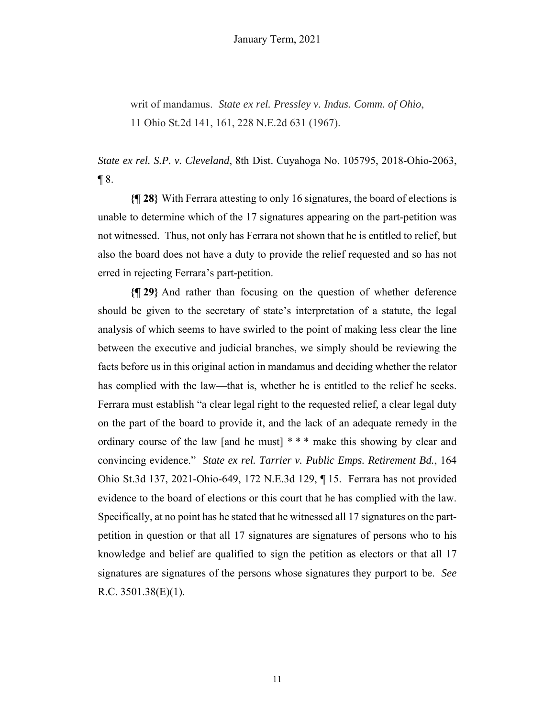writ of mandamus. *State ex rel. Pressley v. Indus. Comm. of Ohio*, 11 Ohio St.2d 141, 161, 228 N.E.2d 631 (1967).

*State ex rel. S.P. v. Cleveland*, 8th Dist. Cuyahoga No. 105795, 2018-Ohio-2063,  $\P$ 8.

**{¶ 28}** With Ferrara attesting to only 16 signatures, the board of elections is unable to determine which of the 17 signatures appearing on the part-petition was not witnessed. Thus, not only has Ferrara not shown that he is entitled to relief, but also the board does not have a duty to provide the relief requested and so has not erred in rejecting Ferrara's part-petition.

**{¶ 29}** And rather than focusing on the question of whether deference should be given to the secretary of state's interpretation of a statute, the legal analysis of which seems to have swirled to the point of making less clear the line between the executive and judicial branches, we simply should be reviewing the facts before us in this original action in mandamus and deciding whether the relator has complied with the law—that is, whether he is entitled to the relief he seeks. Ferrara must establish "a clear legal right to the requested relief, a clear legal duty on the part of the board to provide it, and the lack of an adequate remedy in the ordinary course of the law [and he must] \* \* \* make this showing by clear and convincing evidence." *State ex rel. Tarrier v. Public Emps. Retirement Bd.*, 164 Ohio St.3d 137, 2021-Ohio-649, 172 N.E.3d 129, ¶ 15. Ferrara has not provided evidence to the board of elections or this court that he has complied with the law. Specifically, at no point has he stated that he witnessed all 17 signatures on the partpetition in question or that all 17 signatures are signatures of persons who to his knowledge and belief are qualified to sign the petition as electors or that all 17 signatures are signatures of the persons whose signatures they purport to be. *See*  R.C.  $3501.38(E)(1)$ .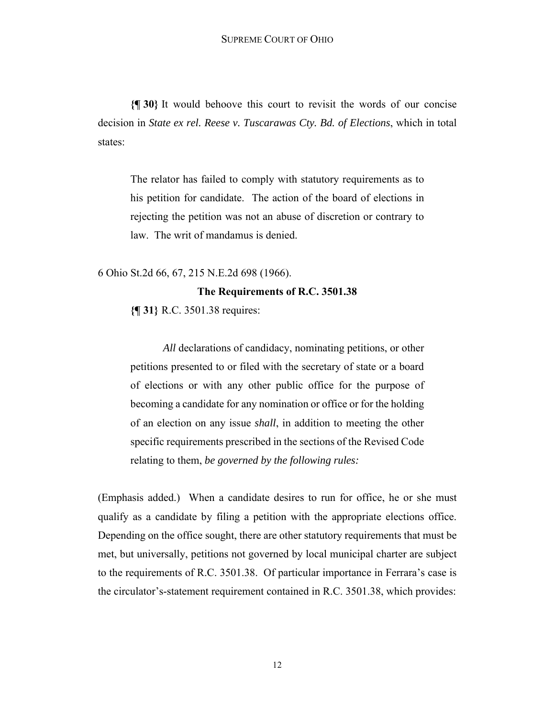**{¶ 30}** It would behoove this court to revisit the words of our concise decision in *State ex rel. Reese v. Tuscarawas Cty. Bd. of Elections*, which in total states:

The relator has failed to comply with statutory requirements as to his petition for candidate. The action of the board of elections in rejecting the petition was not an abuse of discretion or contrary to law. The writ of mandamus is denied.

6 Ohio St.2d 66, 67, 215 N.E.2d 698 (1966).

# **The Requirements of R.C. 3501.38**

**{¶ 31}** R.C. 3501.38 requires:

*All* declarations of candidacy, nominating petitions, or other petitions presented to or filed with the secretary of state or a board of elections or with any other public office for the purpose of becoming a candidate for any nomination or office or for the holding of an election on any issue *shall*, in addition to meeting the other specific requirements prescribed in the sections of the Revised Code relating to them, *be governed by the following rules:* 

(Emphasis added.) When a candidate desires to run for office, he or she must qualify as a candidate by filing a petition with the appropriate elections office. Depending on the office sought, there are other statutory requirements that must be met, but universally, petitions not governed by local municipal charter are subject to the requirements of R.C. 3501.38. Of particular importance in Ferrara's case is the circulator's-statement requirement contained in R.C. 3501.38, which provides: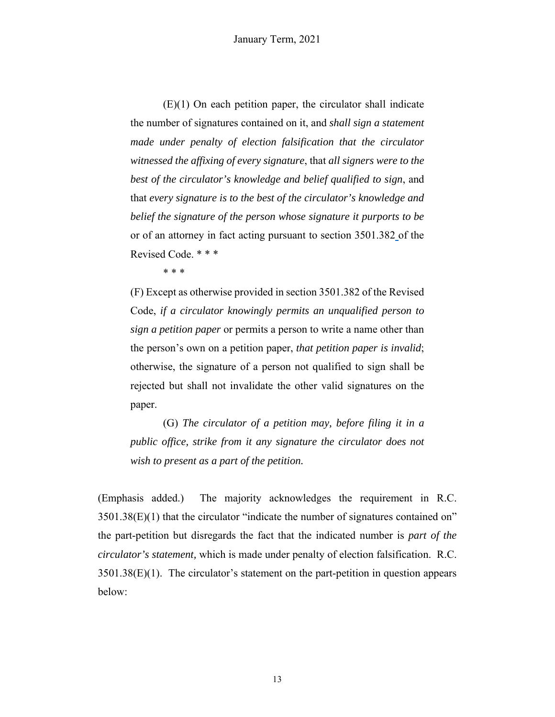(E)(1) On each petition paper, the circulator shall indicate the number of signatures contained on it, and *shall sign a statement made under penalty of election falsification that the circulator witnessed the affixing of every signature*, that *all signers were to the best of the circulator's knowledge and belief qualified to sign*, and that *every signature is to the best of the circulator's knowledge and belief the signature of the person whose signature it purports to be* or of an attorney in fact acting pursuant to section 3501.382 of the Revised Code. \* \* \*

\* \* \*

(F) Except as otherwise provided in section 3501.382 of the Revised Code, *if a circulator knowingly permits an unqualified person to sign a petition paper* or permits a person to write a name other than the person's own on a petition paper, *that petition paper is invalid*; otherwise, the signature of a person not qualified to sign shall be rejected but shall not invalidate the other valid signatures on the paper.

(G) *The circulator of a petition may, before filing it in a public office, strike from it any signature the circulator does not wish to present as a part of the petition.*

(Emphasis added.) The majority acknowledges the requirement in R.C. 3501.38(E)(1) that the circulator "indicate the number of signatures contained on" the part-petition but disregards the fact that the indicated number is *part of the circulator's statement,* which is made under penalty of election falsification. R.C.  $3501.38(E)(1)$ . The circulator's statement on the part-petition in question appears below: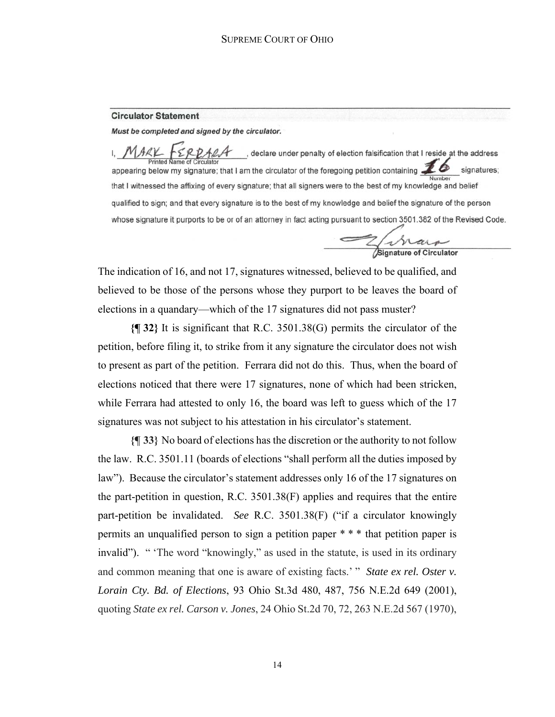#### **Circulator Statement**

Must be completed and signed by the circulator.

 $\Sigma$  RDALA clectare under penalty of election falsification that I reside at the address appearing below my signature; that I am the circulator of the foregoing petition containing  $\mathbb{Z}^6$ signatures; that I witnessed the affixing of every signature; that all signers were to the best of my knowledge and belief qualified to sign; and that every signature is to the best of my knowledge and belief the signature of the person whose signature it purports to be or of an attorney in fact acting pursuant to section 3501.382 of the Revised Code.

Z Mare

The indication of 16, and not 17, signatures witnessed, believed to be qualified, and believed to be those of the persons whose they purport to be leaves the board of elections in a quandary—which of the 17 signatures did not pass muster?

**{¶ 32}** It is significant that R.C. 3501.38(G) permits the circulator of the petition, before filing it, to strike from it any signature the circulator does not wish to present as part of the petition. Ferrara did not do this. Thus, when the board of elections noticed that there were 17 signatures, none of which had been stricken, while Ferrara had attested to only 16, the board was left to guess which of the 17 signatures was not subject to his attestation in his circulator's statement.

**{¶ 33}** No board of elections has the discretion or the authority to not follow the law. R.C. 3501.11 (boards of elections "shall perform all the duties imposed by law"). Because the circulator's statement addresses only 16 of the 17 signatures on the part-petition in question, R.C. 3501.38(F) applies and requires that the entire part-petition be invalidated. *See* R.C. 3501.38(F) ("if a circulator knowingly permits an unqualified person to sign a petition paper \* \* \* that petition paper is invalid"). " 'The word "knowingly," as used in the statute, is used in its ordinary and common meaning that one is aware of existing facts.' " *State ex rel. Oster v. Lorain Cty. Bd. of Elections*, 93 Ohio St.3d 480, 487, 756 N.E.2d 649 (2001), quoting *State ex rel. Carson v. Jones*, 24 Ohio St.2d 70, 72, 263 N.E.2d 567 (1970),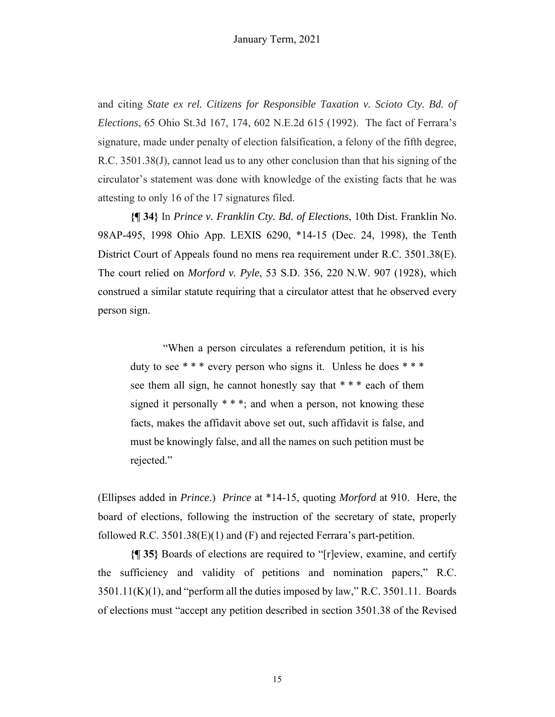and citing *State ex rel. Citizens for Responsible Taxation v. Scioto Cty. Bd. of Elections*, 65 Ohio St.3d 167, 174, 602 N.E.2d 615 (1992). The fact of Ferrara's signature, made under penalty of election falsification, a felony of the fifth degree, R.C. 3501.38(J), cannot lead us to any other conclusion than that his signing of the circulator's statement was done with knowledge of the existing facts that he was attesting to only 16 of the 17 signatures filed.

**{¶ 34}** In *Prince v. Franklin Cty. Bd. of Elections*, 10th Dist. Franklin No. 98AP-495, 1998 Ohio App. LEXIS 6290, \*14-15 (Dec. 24, 1998), the Tenth District Court of Appeals found no mens rea requirement under R.C. 3501.38(E). The court relied on *Morford v. Pyle*, 53 S.D. 356, 220 N.W. 907 (1928), which construed a similar statute requiring that a circulator attest that he observed every person sign.

"When a person circulates a referendum petition, it is his duty to see \*\*\* every person who signs it. Unless he does \*\*\* see them all sign, he cannot honestly say that \* \* \* each of them signed it personally  $***$ ; and when a person, not knowing these facts, makes the affidavit above set out, such affidavit is false, and must be knowingly false, and all the names on such petition must be rejected."

(Ellipses added in *Prince*.) *Prince* at \*14-15, quoting *Morford* at 910. Here, the board of elections, following the instruction of the secretary of state, properly followed R.C.  $3501.38(E)(1)$  and (F) and rejected Ferrara's part-petition.

**{¶ 35}** Boards of elections are required to "[r]eview, examine, and certify the sufficiency and validity of petitions and nomination papers," R.C.  $3501.11(K)(1)$ , and "perform all the duties imposed by law," R.C. 3501.11. Boards of elections must "accept any petition described in section 3501.38 of the Revised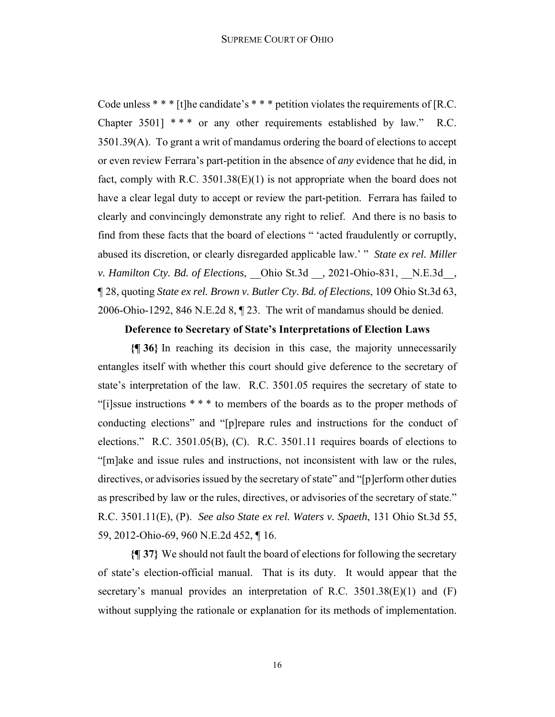Code unless  $***$  [t]he candidate's  $***$  petition violates the requirements of [R.C. Chapter 3501]  $***$  or any other requirements established by law." R.C. 3501.39(A). To grant a writ of mandamus ordering the board of elections to accept or even review Ferrara's part-petition in the absence of *any* evidence that he did, in fact, comply with R.C.  $3501.38(E)(1)$  is not appropriate when the board does not have a clear legal duty to accept or review the part-petition. Ferrara has failed to clearly and convincingly demonstrate any right to relief. And there is no basis to find from these facts that the board of elections " 'acted fraudulently or corruptly, abused its discretion, or clearly disregarded applicable law.' " *State ex rel. Miller v. Hamilton Cty. Bd. of Elections*, \_\_Ohio St.3d \_\_, 2021-Ohio-831, \_\_N.E.3d\_\_, ¶ 28, quoting *State ex rel. Brown v. Butler Cty. Bd. of Elections*, 109 Ohio St.3d 63, 2006-Ohio-1292, 846 N.E.2d 8, ¶ 23. The writ of mandamus should be denied.

#### **Deference to Secretary of State's Interpretations of Election Laws**

**{¶ 36}** In reaching its decision in this case, the majority unnecessarily entangles itself with whether this court should give deference to the secretary of state's interpretation of the law. R.C. 3501.05 requires the secretary of state to "[i]ssue instructions \* \* \* to members of the boards as to the proper methods of conducting elections" and "[p]repare rules and instructions for the conduct of elections." R.C. 3501.05(B), (C). R.C. 3501.11 requires boards of elections to "[m]ake and issue rules and instructions, not inconsistent with law or the rules, directives, or advisories issued by the secretary of state" and "[p]erform other duties as prescribed by law or the rules, directives, or advisories of the secretary of state." R.C. 3501.11(E), (P). *See also State ex rel. Waters v. Spaeth*, 131 Ohio St.3d 55, 59, 2012-Ohio-69, 960 N.E.2d 452, ¶ 16.

**{¶ 37}** We should not fault the board of elections for following the secretary of state's election-official manual. That is its duty. It would appear that the secretary's manual provides an interpretation of R.C. 3501.38(E)(1) and (F) without supplying the rationale or explanation for its methods of implementation.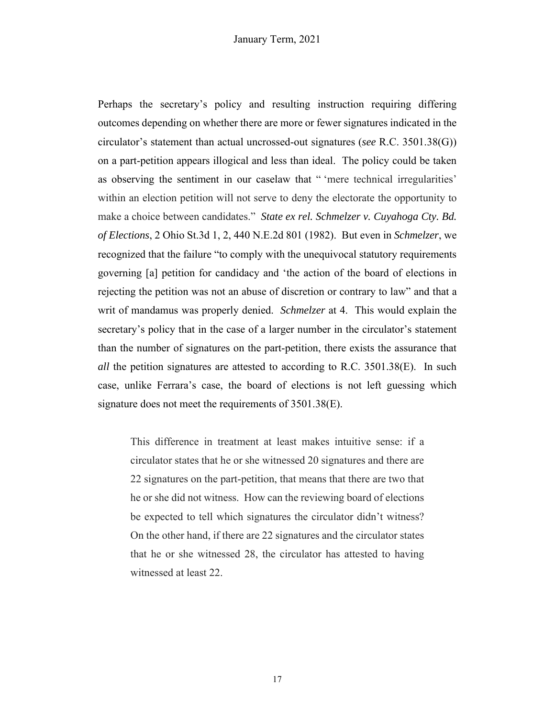Perhaps the secretary's policy and resulting instruction requiring differing outcomes depending on whether there are more or fewer signatures indicated in the circulator's statement than actual uncrossed-out signatures (*see* R.C. 3501.38(G)) on a part-petition appears illogical and less than ideal. The policy could be taken as observing the sentiment in our caselaw that " 'mere technical irregularities' within an election petition will not serve to deny the electorate the opportunity to make a choice between candidates." *State ex rel. Schmelzer v. Cuyahoga Cty. Bd. of Elections*, 2 Ohio St.3d 1, 2, 440 N.E.2d 801 (1982). But even in *Schmelzer*, we recognized that the failure "to comply with the unequivocal statutory requirements governing [a] petition for candidacy and 'the action of the board of elections in rejecting the petition was not an abuse of discretion or contrary to law" and that a writ of mandamus was properly denied. *Schmelzer* at 4. This would explain the secretary's policy that in the case of a larger number in the circulator's statement than the number of signatures on the part-petition, there exists the assurance that *all* the petition signatures are attested to according to R.C. 3501.38(E). In such case, unlike Ferrara's case, the board of elections is not left guessing which signature does not meet the requirements of 3501.38(E).

This difference in treatment at least makes intuitive sense: if a circulator states that he or she witnessed 20 signatures and there are 22 signatures on the part-petition, that means that there are two that he or she did not witness. How can the reviewing board of elections be expected to tell which signatures the circulator didn't witness? On the other hand, if there are 22 signatures and the circulator states that he or she witnessed 28, the circulator has attested to having witnessed at least 22.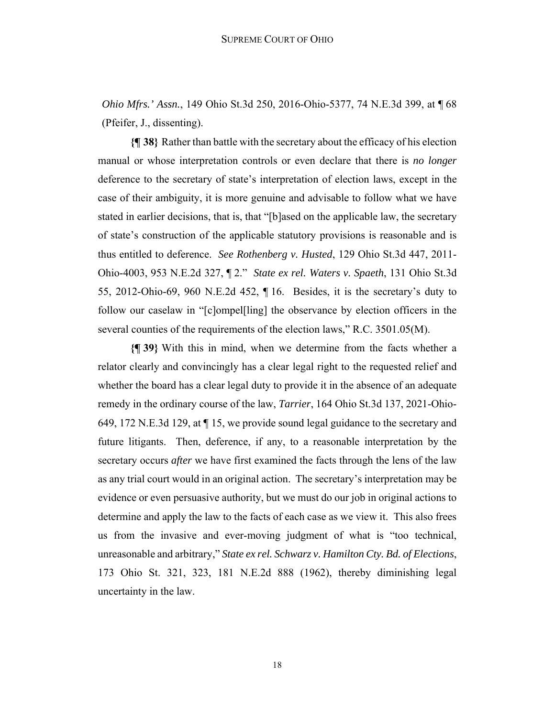*Ohio Mfrs.' Assn.*, 149 Ohio St.3d 250, 2016-Ohio-5377, 74 N.E.3d 399, at ¶ 68 (Pfeifer, J., dissenting).

**{¶ 38}** Rather than battle with the secretary about the efficacy of his election manual or whose interpretation controls or even declare that there is *no longer* deference to the secretary of state's interpretation of election laws, except in the case of their ambiguity, it is more genuine and advisable to follow what we have stated in earlier decisions, that is, that "[b]ased on the applicable law, the secretary of state's construction of the applicable statutory provisions is reasonable and is thus entitled to deference. *See Rothenberg v. Husted*, 129 Ohio St.3d 447, 2011- Ohio-4003, 953 N.E.2d 327, ¶ 2." *State ex rel. Waters v. Spaeth*, 131 Ohio St.3d 55, 2012-Ohio-69, 960 N.E.2d 452, ¶ 16. Besides, it is the secretary's duty to follow our caselaw in "[c]ompel[ling] the observance by election officers in the several counties of the requirements of the election laws," R.C. 3501.05(M).

**{¶ 39}** With this in mind, when we determine from the facts whether a relator clearly and convincingly has a clear legal right to the requested relief and whether the board has a clear legal duty to provide it in the absence of an adequate remedy in the ordinary course of the law, *Tarrier*, 164 Ohio St.3d 137, 2021-Ohio-649, 172 N.E.3d 129, at ¶ 15, we provide sound legal guidance to the secretary and future litigants. Then, deference, if any, to a reasonable interpretation by the secretary occurs *after* we have first examined the facts through the lens of the law as any trial court would in an original action. The secretary's interpretation may be evidence or even persuasive authority, but we must do our job in original actions to determine and apply the law to the facts of each case as we view it. This also frees us from the invasive and ever-moving judgment of what is "too technical, unreasonable and arbitrary," *State ex rel. Schwarz v. Hamilton Cty. Bd. of Elections*, 173 Ohio St. 321, 323, 181 N.E.2d 888 (1962), thereby diminishing legal uncertainty in the law.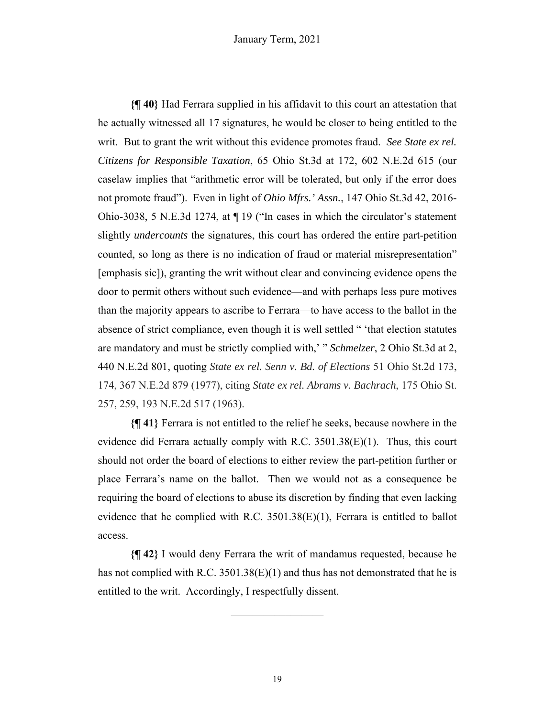**{¶ 40}** Had Ferrara supplied in his affidavit to this court an attestation that he actually witnessed all 17 signatures, he would be closer to being entitled to the writ. But to grant the writ without this evidence promotes fraud. *See State ex rel. Citizens for Responsible Taxation*, 65 Ohio St.3d at 172, 602 N.E.2d 615 (our caselaw implies that "arithmetic error will be tolerated, but only if the error does not promote fraud"). Even in light of *Ohio Mfrs.' Assn.*, 147 Ohio St.3d 42, 2016- Ohio-3038, 5 N.E.3d 1274, at ¶ 19 ("In cases in which the circulator's statement slightly *undercounts* the signatures, this court has ordered the entire part-petition counted, so long as there is no indication of fraud or material misrepresentation" [emphasis sic]), granting the writ without clear and convincing evidence opens the door to permit others without such evidence—and with perhaps less pure motives than the majority appears to ascribe to Ferrara—to have access to the ballot in the absence of strict compliance, even though it is well settled " 'that election statutes are mandatory and must be strictly complied with,' " *Schmelzer*, 2 Ohio St.3d at 2, 440 N.E.2d 801, quoting *State ex rel. Senn v. Bd. of Elections* 51 Ohio St.2d 173, 174, 367 N.E.2d 879 (1977), citing *State ex rel. Abrams v. Bachrach*, 175 Ohio St. 257, 259, 193 N.E.2d 517 (1963).

**{¶ 41}** Ferrara is not entitled to the relief he seeks, because nowhere in the evidence did Ferrara actually comply with R.C. 3501.38(E)(1). Thus, this court should not order the board of elections to either review the part-petition further or place Ferrara's name on the ballot. Then we would not as a consequence be requiring the board of elections to abuse its discretion by finding that even lacking evidence that he complied with R.C. 3501.38(E)(1), Ferrara is entitled to ballot access.

**{¶ 42}** I would deny Ferrara the writ of mandamus requested, because he has not complied with R.C. 3501.38(E)(1) and thus has not demonstrated that he is entitled to the writ. Accordingly, I respectfully dissent.